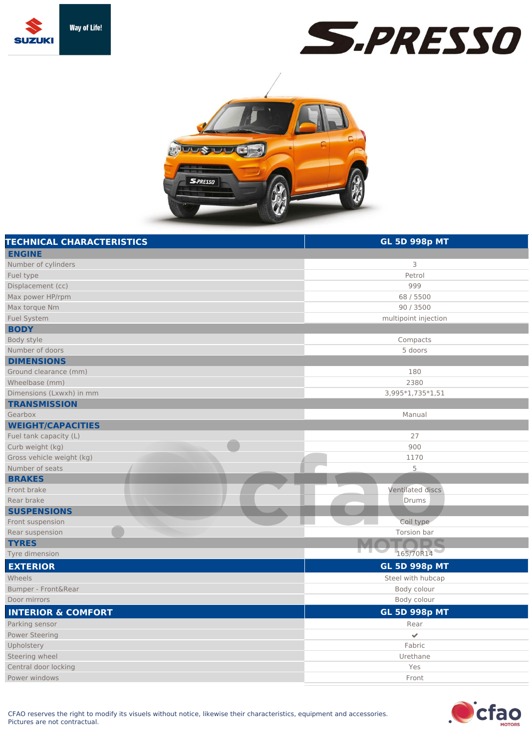





| <b>TECHNICAL CHARACTERISTICS</b> | <b>GL 5D 998p MT</b> |
|----------------------------------|----------------------|
| <b>ENGINE</b>                    |                      |
| Number of cylinders              | 3                    |
| Fuel type                        | Petrol               |
| Displacement (cc)                | 999                  |
| Max power HP/rpm                 | 68 / 5500            |
| Max torque Nm                    | 90 / 3500            |
| <b>Fuel System</b>               | multipoint injection |
| <b>BODY</b>                      |                      |
| Body style                       | Compacts             |
| Number of doors                  | 5 doors              |
| <b>DIMENSIONS</b>                |                      |
| Ground clearance (mm)            | 180                  |
| Wheelbase (mm)                   | 2380                 |
| Dimensions (Lxwxh) in mm         | 3,995*1,735*1,51     |
| <b>TRANSMISSION</b>              |                      |
| Gearbox                          | Manual               |
| <b>WEIGHT/CAPACITIES</b>         |                      |
| Fuel tank capacity (L)           | 27                   |
| Curb weight (kg)                 | 900                  |
| Gross vehicle weight (kg)        | 1170                 |
| Number of seats                  | 5                    |
| <b>BRAKES</b>                    |                      |
| Front brake                      | Ventilated discs     |
| Rear brake                       | Drums                |
| <b>SUSPENSIONS</b>               |                      |
| Front suspension                 | Coil type            |
| Rear suspension                  | Torsion bar          |
| <b>TYRES</b>                     |                      |
| Tyre dimension                   | 165/70R14            |
| <b>EXTERIOR</b>                  | <b>GL 5D 998p MT</b> |
| Wheels                           | Steel with hubcap    |
| Bumper - Front&Rear              | Body colour          |
| Door mirrors                     | Body colour          |
| <b>INTERIOR &amp; COMFORT</b>    | <b>GL 5D 998p MT</b> |
| Parking sensor                   | Rear                 |
| <b>Power Steering</b>            | V                    |
| Upholstery                       | Fabric               |
| Steering wheel                   | Urethane             |
| Central door locking             | Yes                  |
| Power windows                    | Front                |